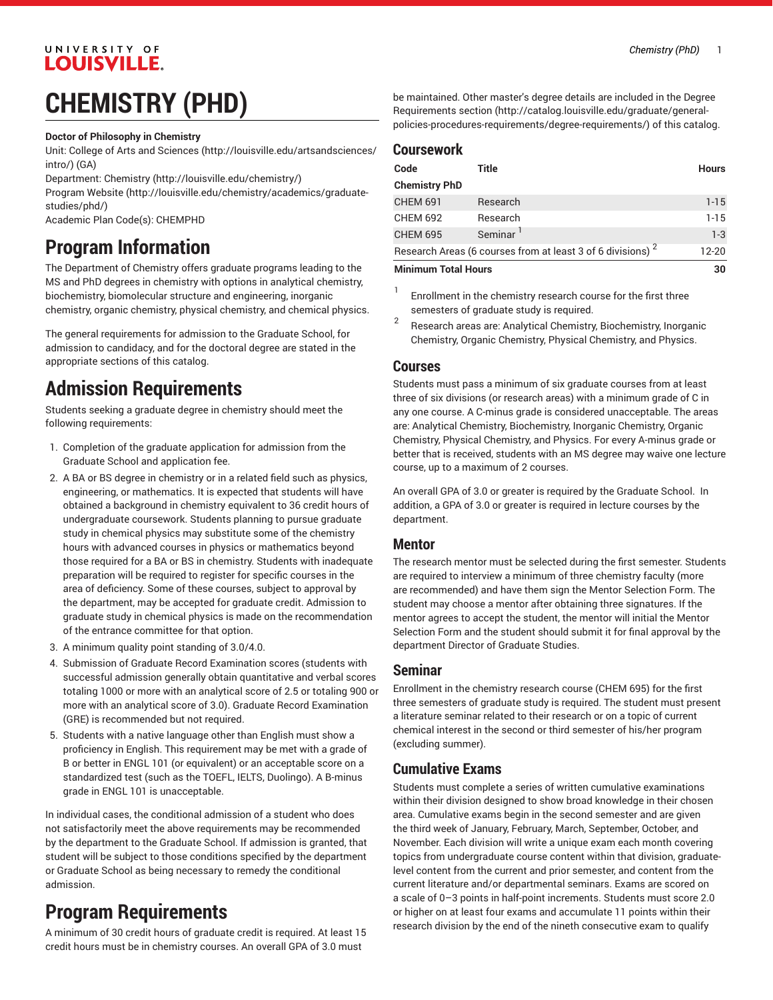### UNIVERSITY OF **LOUISVILLE.**

# **CHEMISTRY (PHD)**

#### **Doctor of Philosophy in Chemistry**

Unit: College of Arts and [Sciences \(http://louisville.edu/artsandsciences/](http://louisville.edu/artsandsciences/intro/) [intro/\)](http://louisville.edu/artsandsciences/intro/) (GA)

Department: [Chemistry](http://louisville.edu/chemistry/) (<http://louisville.edu/chemistry/>)

[Program](http://louisville.edu/chemistry/academics/graduate-studies/phd/) Website [\(http://louisville.edu/chemistry/academics/graduate](http://louisville.edu/chemistry/academics/graduate-studies/phd/)[studies/phd/\)](http://louisville.edu/chemistry/academics/graduate-studies/phd/)

Academic Plan Code(s): CHEMPHD

## **Program Information**

The Department of Chemistry offers graduate programs leading to the MS and PhD degrees in chemistry with options in analytical chemistry, biochemistry, biomolecular structure and engineering, inorganic chemistry, organic chemistry, physical chemistry, and chemical physics.

The general requirements for admission to the Graduate School, for admission to candidacy, and for the doctoral degree are stated in the appropriate sections of this catalog.

## **Admission Requirements**

Students seeking a graduate degree in chemistry should meet the following requirements:

- 1. Completion of the graduate application for admission from the Graduate School and application fee.
- 2. A BA or BS degree in chemistry or in a related field such as physics, engineering, or mathematics. It is expected that students will have obtained a background in chemistry equivalent to 36 credit hours of undergraduate coursework. Students planning to pursue graduate study in chemical physics may substitute some of the chemistry hours with advanced courses in physics or mathematics beyond those required for a BA or BS in chemistry. Students with inadequate preparation will be required to register for specific courses in the area of deficiency. Some of these courses, subject to approval by the department, may be accepted for graduate credit. Admission to graduate study in chemical physics is made on the recommendation of the entrance committee for that option.
- 3. A minimum quality point standing of 3.0/4.0.
- 4. Submission of Graduate Record Examination scores (students with successful admission generally obtain quantitative and verbal scores totaling 1000 or more with an analytical score of 2.5 or totaling 900 or more with an analytical score of 3.0). Graduate Record Examination (GRE) is recommended but not required.
- 5. Students with a native language other than English must show a proficiency in English. This requirement may be met with a grade of B or better in ENGL 101 (or equivalent) or an acceptable score on a standardized test (such as the TOEFL, IELTS, Duolingo). A B-minus grade in ENGL 101 is unacceptable.

In individual cases, the conditional admission of a student who does not satisfactorily meet the above requirements may be recommended by the department to the Graduate School. If admission is granted, that student will be subject to those conditions specified by the department or Graduate School as being necessary to remedy the conditional admission.

## **Program Requirements**

A minimum of 30 credit hours of graduate credit is required. At least 15 credit hours must be in chemistry courses. An overall GPA of 3.0 must

be maintained. Other master's degree details are included in the [Degree](http://catalog.louisville.edu/graduate/general-policies-procedures-requirements/degree-requirements/) [Requirements](http://catalog.louisville.edu/graduate/general-policies-procedures-requirements/degree-requirements/) section ([http://catalog.louisville.edu/graduate/general](http://catalog.louisville.edu/graduate/general-policies-procedures-requirements/degree-requirements/)[policies-procedures-requirements/degree-requirements/](http://catalog.louisville.edu/graduate/general-policies-procedures-requirements/degree-requirements/)) of this catalog.

| <b>Coursework</b>                                                      |                      |              |  |  |  |
|------------------------------------------------------------------------|----------------------|--------------|--|--|--|
| Code                                                                   | Title                | <b>Hours</b> |  |  |  |
| <b>Chemistry PhD</b>                                                   |                      |              |  |  |  |
| <b>CHEM 691</b>                                                        | Research             | $1 - 15$     |  |  |  |
| <b>CHEM 692</b>                                                        | Research             | $1 - 15$     |  |  |  |
| <b>CHEM 695</b>                                                        | Seminar <sup>1</sup> | $1 - 3$      |  |  |  |
| Research Areas (6 courses from at least 3 of 6 divisions) <sup>2</sup> | 12-20                |              |  |  |  |
| <b>Minimum Total Hours</b>                                             | 30                   |              |  |  |  |

- 1 Enrollment in the chemistry research course for the first three semesters of graduate study is required.
- 2 Research areas are: Analytical Chemistry, Biochemistry, Inorganic Chemistry, Organic Chemistry, Physical Chemistry, and Physics.

#### **Courses**

Students must pass a minimum of six graduate courses from at least three of six divisions (or research areas) with a minimum grade of C in any one course. A C-minus grade is considered unacceptable. The areas are: Analytical Chemistry, Biochemistry, Inorganic Chemistry, Organic Chemistry, Physical Chemistry, and Physics. For every A-minus grade or better that is received, students with an MS degree may waive one lecture course, up to a maximum of 2 courses.

An overall GPA of 3.0 or greater is required by the Graduate School. In addition, a GPA of 3.0 or greater is required in lecture courses by the department.

#### **Mentor**

The research mentor must be selected during the first semester. Students are required to interview a minimum of three chemistry faculty (more are recommended) and have them sign the Mentor Selection Form. The student may choose a mentor after obtaining three signatures. If the mentor agrees to accept the student, the mentor will initial the Mentor Selection Form and the student should submit it for final approval by the department Director of Graduate Studies.

#### **Seminar**

Enrollment in the chemistry research course (CHEM 695) for the first three semesters of graduate study is required. The student must present a literature seminar related to their research or on a topic of current chemical interest in the second or third semester of his/her program (excluding summer).

#### **Cumulative Exams**

Students must complete a series of written cumulative examinations within their division designed to show broad knowledge in their chosen area. Cumulative exams begin in the second semester and are given the third week of January, February, March, September, October, and November. Each division will write a unique exam each month covering topics from undergraduate course content within that division, graduatelevel content from the current and prior semester, and content from the current literature and/or departmental seminars. Exams are scored on a scale of 0–3 points in half-point increments. Students must score 2.0 or higher on at least four exams and accumulate 11 points within their research division by the end of the nineth consecutive exam to qualify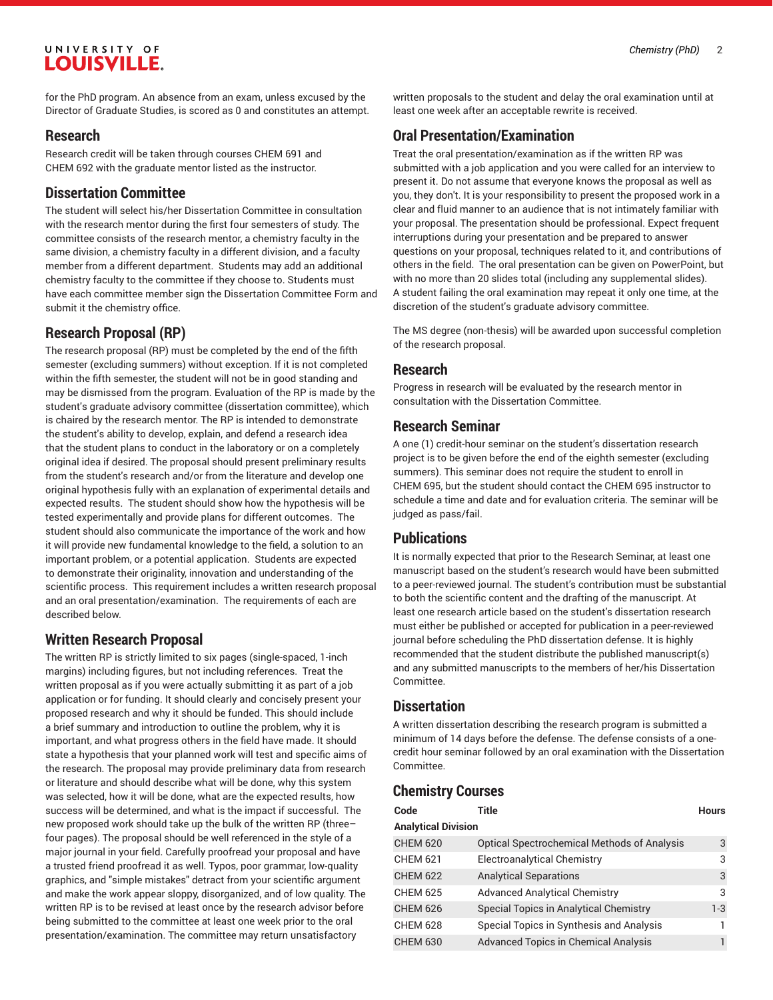### UNIVERSITY OF **LOUISVILLE.**

for the PhD program. An absence from an exam, unless excused by the Director of Graduate Studies, is scored as 0 and constitutes an attempt.

#### **Research**

Research credit will be taken through courses CHEM 691 and CHEM 692 with the graduate mentor listed as the instructor.

#### **Dissertation Committee**

The student will select his/her Dissertation Committee in consultation with the research mentor during the first four semesters of study. The committee consists of the research mentor, a chemistry faculty in the same division, a chemistry faculty in a different division, and a faculty member from a different department. Students may add an additional chemistry faculty to the committee if they choose to. Students must have each committee member sign the Dissertation Committee Form and submit it the chemistry office.

#### **Research Proposal (RP)**

The research proposal (RP) must be completed by the end of the fifth semester (excluding summers) without exception. If it is not completed within the fifth semester, the student will not be in good standing and may be dismissed from the program. Evaluation of the RP is made by the student's graduate advisory committee (dissertation committee), which is chaired by the research mentor. The RP is intended to demonstrate the student's ability to develop, explain, and defend a research idea that the student plans to conduct in the laboratory or on a completely original idea if desired. The proposal should present preliminary results from the student's research and/or from the literature and develop one original hypothesis fully with an explanation of experimental details and expected results. The student should show how the hypothesis will be tested experimentally and provide plans for different outcomes. The student should also communicate the importance of the work and how it will provide new fundamental knowledge to the field, a solution to an important problem, or a potential application. Students are expected to demonstrate their originality, innovation and understanding of the scientific process. This requirement includes a written research proposal and an oral presentation/examination. The requirements of each are described below.

### **Written Research Proposal**

The written RP is strictly limited to six pages (single-spaced, 1-inch margins) including figures, but not including references. Treat the written proposal as if you were actually submitting it as part of a job application or for funding. It should clearly and concisely present your proposed research and why it should be funded. This should include a brief summary and introduction to outline the problem, why it is important, and what progress others in the field have made. It should state a hypothesis that your planned work will test and specific aims of the research. The proposal may provide preliminary data from research or literature and should describe what will be done, why this system was selected, how it will be done, what are the expected results, how success will be determined, and what is the impact if successful. The new proposed work should take up the bulk of the written RP (three– four pages). The proposal should be well referenced in the style of a major journal in your field. Carefully proofread your proposal and have a trusted friend proofread it as well. Typos, poor grammar, low-quality graphics, and "simple mistakes" detract from your scientific argument and make the work appear sloppy, disorganized, and of low quality. The written RP is to be revised at least once by the research advisor before being submitted to the committee at least one week prior to the oral presentation/examination. The committee may return unsatisfactory

written proposals to the student and delay the oral examination until at least one week after an acceptable rewrite is received.

### **Oral Presentation/Examination**

Treat the oral presentation/examination as if the written RP was submitted with a job application and you were called for an interview to present it. Do not assume that everyone knows the proposal as well as you, they don't. It is your responsibility to present the proposed work in a clear and fluid manner to an audience that is not intimately familiar with your proposal. The presentation should be professional. Expect frequent interruptions during your presentation and be prepared to answer questions on your proposal, techniques related to it, and contributions of others in the field. The oral presentation can be given on PowerPoint, but with no more than 20 slides total (including any supplemental slides). A student failing the oral examination may repeat it only one time, at the discretion of the student's graduate advisory committee.

The MS degree (non-thesis) will be awarded upon successful completion of the research proposal.

#### **Research**

Progress in research will be evaluated by the research mentor in consultation with the Dissertation Committee.

#### **Research Seminar**

A one (1) credit-hour seminar on the student's dissertation research project is to be given before the end of the eighth semester (excluding summers). This seminar does not require the student to enroll in CHEM 695, but the student should contact the CHEM 695 instructor to schedule a time and date and for evaluation criteria. The seminar will be judged as pass/fail.

#### **Publications**

It is normally expected that prior to the Research Seminar, at least one manuscript based on the student's research would have been submitted to a peer-reviewed journal. The student's contribution must be substantial to both the scientific content and the drafting of the manuscript. At least one research article based on the student's dissertation research must either be published or accepted for publication in a peer-reviewed journal before scheduling the PhD dissertation defense. It is highly recommended that the student distribute the published manuscript(s) and any submitted manuscripts to the members of her/his Dissertation Committee.

#### **Dissertation**

A written dissertation describing the research program is submitted a minimum of 14 days before the defense. The defense consists of a onecredit hour seminar followed by an oral examination with the Dissertation Committee.

#### **Chemistry Courses**

| Code                       | Title                                              | <b>Hours</b> |  |  |  |  |
|----------------------------|----------------------------------------------------|--------------|--|--|--|--|
| <b>Analytical Division</b> |                                                    |              |  |  |  |  |
| <b>CHEM 620</b>            | <b>Optical Spectrochemical Methods of Analysis</b> | 3            |  |  |  |  |
| <b>CHEM 621</b>            | <b>Electroanalytical Chemistry</b>                 | 3            |  |  |  |  |
| <b>CHEM 622</b>            | <b>Analytical Separations</b>                      | 3            |  |  |  |  |
| <b>CHEM 625</b>            | <b>Advanced Analytical Chemistry</b>               | 3            |  |  |  |  |
| <b>CHEM 626</b>            | Special Topics in Analytical Chemistry             | $1-3$        |  |  |  |  |
| <b>CHEM 628</b>            | Special Topics in Synthesis and Analysis           |              |  |  |  |  |
| <b>CHEM 630</b>            | <b>Advanced Topics in Chemical Analysis</b>        |              |  |  |  |  |